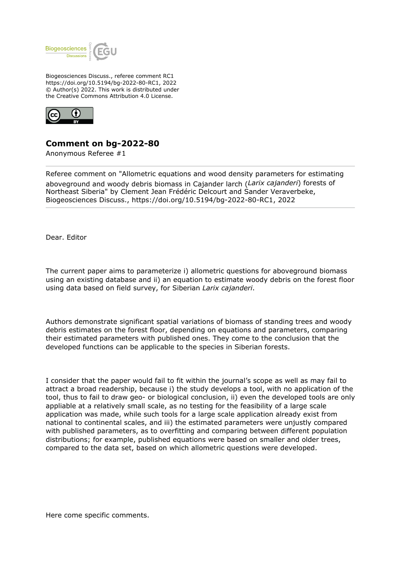

Biogeosciences Discuss., referee comment RC1 https://doi.org/10.5194/bg-2022-80-RC1, 2022 © Author(s) 2022. This work is distributed under the Creative Commons Attribution 4.0 License.



## **Comment on bg-2022-80**

Anonymous Referee #1

Referee comment on "Allometric equations and wood density parameters for estimating aboveground and woody debris biomass in Cajander larch (*Larix cajanderi*) forests of Northeast Siberia" by Clement Jean Frédéric Delcourt and Sander Veraverbeke, Biogeosciences Discuss., https://doi.org/10.5194/bg-2022-80-RC1, 2022

Dear. Editor

The current paper aims to parameterize i) allometric questions for aboveground biomass using an existing database and ii) an equation to estimate woody debris on the forest floor using data based on field survey, for Siberian *Larix cajanderi*.

Authors demonstrate significant spatial variations of biomass of standing trees and woody debris estimates on the forest floor, depending on equations and parameters, comparing their estimated parameters with published ones. They come to the conclusion that the developed functions can be applicable to the species in Siberian forests.

I consider that the paper would fail to fit within the journal's scope as well as may fail to attract a broad readership, because i) the study develops a tool, with no application of the tool, thus to fail to draw geo- or biological conclusion, ii) even the developed tools are only appliable at a relatively small scale, as no testing for the feasibility of a large scale application was made, while such tools for a large scale application already exist from national to continental scales, and iii) the estimated parameters were unjustly compared with published parameters, as to overfitting and comparing between different population distributions; for example, published equations were based on smaller and older trees, compared to the data set, based on which allometric questions were developed.

Here come specific comments.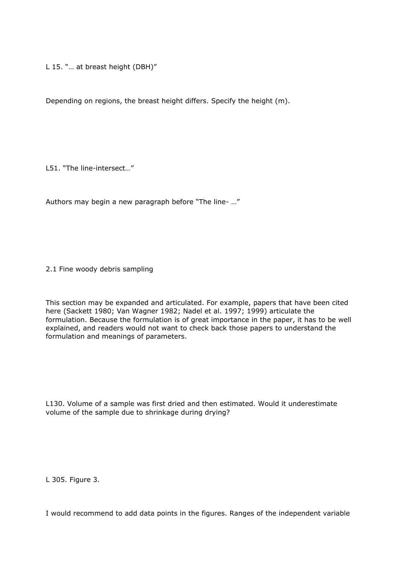L 15. "… at breast height (DBH)"

Depending on regions, the breast height differs. Specify the height (m).

L51. "The line-intersect…"

Authors may begin a new paragraph before "The line- …"

2.1 Fine woody debris sampling

This section may be expanded and articulated. For example, papers that have been cited here (Sackett 1980; Van Wagner 1982; Nadel et al. 1997; 1999) articulate the formulation. Because the formulation is of great importance in the paper, it has to be well explained, and readers would not want to check back those papers to understand the formulation and meanings of parameters.

L130. Volume of a sample was first dried and then estimated. Would it underestimate volume of the sample due to shrinkage during drying?

L 305. Figure 3.

I would recommend to add data points in the figures. Ranges of the independent variable